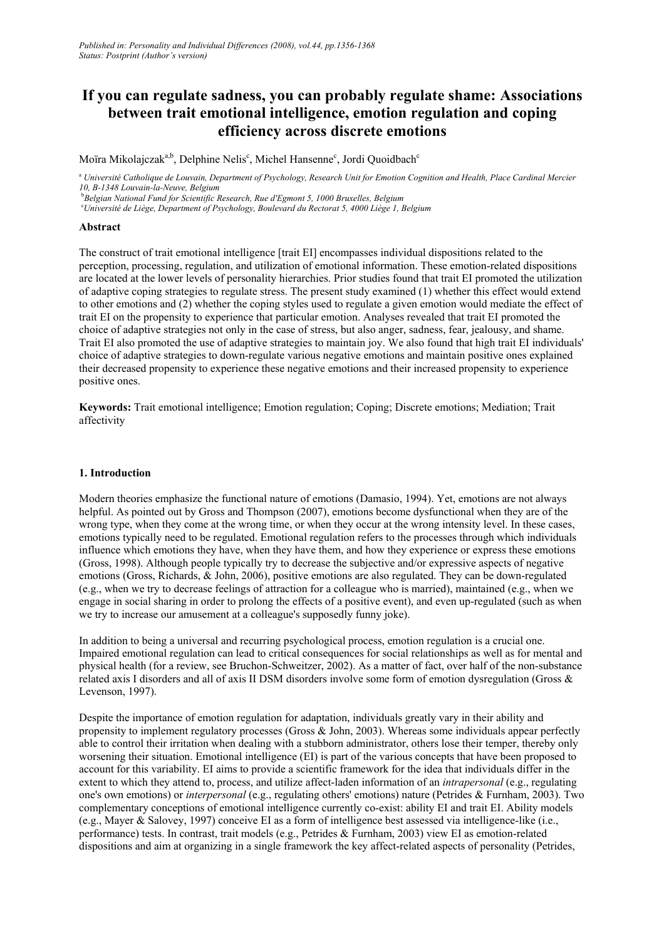# If you can regulate sadness, you can probably regulate shame: Associations between trait emotional intelligence, emotion regulation and coping efficiency across discrete emotions

Moïra Mikolajczak<sup>a,b</sup>, Delphine Nelis<sup>c</sup>, Michel Hansenne<sup>c</sup>, Jordi Quoidbach<sup>c</sup>

<sup>a</sup> Université Catholique de Louvain, Department of Psychology, Research Unit for Emotion Cognition and Health, Place Cardinal Mercier 10, B-1348 Louvain-la-Neuve, Belgium

 $b$ Belgian National Fund for Scientific Research, Rue d'Egmont 5, 1000 Bruxelles, Belgium

<sup>c</sup>Université de Liège, Department of Psychology, Boulevard du Rectorat 5, 4000 Liège 1, Belgium

#### Abstract

The construct of trait emotional intelligence [trait EI] encompasses individual dispositions related to the perception, processing, regulation, and utilization of emotional information. These emotion-related dispositions are located at the lower levels of personality hierarchies. Prior studies found that trait EI promoted the utilization of adaptive coping strategies to regulate stress. The present study examined (1) whether this effect would extend to other emotions and (2) whether the coping styles used to regulate a given emotion would mediate the effect of trait EI on the propensity to experience that particular emotion. Analyses revealed that trait EI promoted the choice of adaptive strategies not only in the case of stress, but also anger, sadness, fear, jealousy, and shame. Trait EI also promoted the use of adaptive strategies to maintain joy. We also found that high trait EI individuals' choice of adaptive strategies to down-regulate various negative emotions and maintain positive ones explained their decreased propensity to experience these negative emotions and their increased propensity to experience positive ones.

Keywords: Trait emotional intelligence; Emotion regulation; Coping; Discrete emotions; Mediation; Trait affectivity

#### 1. Introduction

Modern theories emphasize the functional nature of emotions (Damasio, 1994). Yet, emotions are not always helpful. As pointed out by Gross and Thompson (2007), emotions become dysfunctional when they are of the wrong type, when they come at the wrong time, or when they occur at the wrong intensity level. In these cases, emotions typically need to be regulated. Emotional regulation refers to the processes through which individuals influence which emotions they have, when they have them, and how they experience or express these emotions (Gross, 1998). Although people typically try to decrease the subjective and/or expressive aspects of negative emotions (Gross, Richards, & John, 2006), positive emotions are also regulated. They can be down-regulated (e.g., when we try to decrease feelings of attraction for a colleague who is married), maintained (e.g., when we engage in social sharing in order to prolong the effects of a positive event), and even up-regulated (such as when we try to increase our amusement at a colleague's supposedly funny joke).

In addition to being a universal and recurring psychological process, emotion regulation is a crucial one. Impaired emotional regulation can lead to critical consequences for social relationships as well as for mental and physical health (for a review, see Bruchon-Schweitzer, 2002). As a matter of fact, over half of the non-substance related axis I disorders and all of axis II DSM disorders involve some form of emotion dysregulation (Gross & Levenson, 1997).

Despite the importance of emotion regulation for adaptation, individuals greatly vary in their ability and propensity to implement regulatory processes (Gross & John, 2003). Whereas some individuals appear perfectly able to control their irritation when dealing with a stubborn administrator, others lose their temper, thereby only worsening their situation. Emotional intelligence (EI) is part of the various concepts that have been proposed to account for this variability. EI aims to provide a scientific framework for the idea that individuals differ in the extent to which they attend to, process, and utilize affect-laden information of an *intrapersonal* (e.g., regulating one's own emotions) or interpersonal (e.g., regulating others' emotions) nature (Petrides & Furnham, 2003). Two complementary conceptions of emotional intelligence currently co-exist: ability EI and trait EI. Ability models (e.g., Mayer & Salovey, 1997) conceive EI as a form of intelligence best assessed via intelligence-like (i.e., performance) tests. In contrast, trait models (e.g., Petrides & Furnham, 2003) view EI as emotion-related dispositions and aim at organizing in a single framework the key affect-related aspects of personality (Petrides,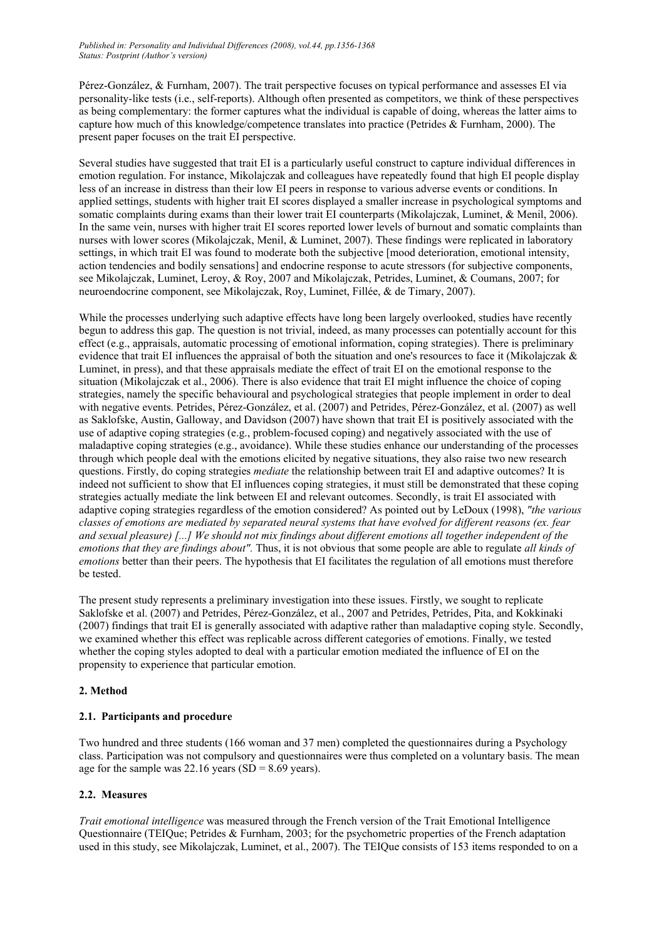Pérez-González, & Furnham, 2007). The trait perspective focuses on typical performance and assesses EI via personality-like tests (i.e., self-reports). Although often presented as competitors, we think of these perspectives as being complementary: the former captures what the individual is capable of doing, whereas the latter aims to capture how much of this knowledge/competence translates into practice (Petrides & Furnham, 2000). The present paper focuses on the trait EI perspective.

Several studies have suggested that trait EI is a particularly useful construct to capture individual differences in emotion regulation. For instance, Mikolajczak and colleagues have repeatedly found that high EI people display less of an increase in distress than their low EI peers in response to various adverse events or conditions. In applied settings, students with higher trait EI scores displayed a smaller increase in psychological symptoms and somatic complaints during exams than their lower trait EI counterparts (Mikolajczak, Luminet, & Menil, 2006). In the same vein, nurses with higher trait EI scores reported lower levels of burnout and somatic complaints than nurses with lower scores (Mikolajczak, Menil, & Luminet, 2007). These findings were replicated in laboratory settings, in which trait EI was found to moderate both the subjective [mood deterioration, emotional intensity, action tendencies and bodily sensations] and endocrine response to acute stressors (for subjective components, see Mikolajczak, Luminet, Leroy, & Roy, 2007 and Mikolajczak, Petrides, Luminet, & Coumans, 2007; for neuroendocrine component, see Mikolajczak, Roy, Luminet, Fillée, & de Timary, 2007).

While the processes underlying such adaptive effects have long been largely overlooked, studies have recently begun to address this gap. The question is not trivial, indeed, as many processes can potentially account for this effect (e.g., appraisals, automatic processing of emotional information, coping strategies). There is preliminary evidence that trait EI influences the appraisal of both the situation and one's resources to face it (Mikolajczak & Luminet, in press), and that these appraisals mediate the effect of trait EI on the emotional response to the situation (Mikolajczak et al., 2006). There is also evidence that trait EI might influence the choice of coping strategies, namely the specific behavioural and psychological strategies that people implement in order to deal with negative events. Petrides, Pérez-González, et al. (2007) and Petrides, Pérez-González, et al. (2007) as well as Saklofske, Austin, Galloway, and Davidson (2007) have shown that trait EI is positively associated with the use of adaptive coping strategies (e.g., problem-focused coping) and negatively associated with the use of maladaptive coping strategies (e.g., avoidance). While these studies enhance our understanding of the processes through which people deal with the emotions elicited by negative situations, they also raise two new research questions. Firstly, do coping strategies *mediate* the relationship between trait EI and adaptive outcomes? It is indeed not sufficient to show that EI influences coping strategies, it must still be demonstrated that these coping strategies actually mediate the link between EI and relevant outcomes. Secondly, is trait EI associated with adaptive coping strategies regardless of the emotion considered? As pointed out by LeDoux (1998), "the various classes of emotions are mediated by separated neural systems that have evolved for different reasons (ex. fear and sexual pleasure) [...] We should not mix findings about different emotions all together independent of the emotions that they are findings about". Thus, it is not obvious that some people are able to regulate all kinds of emotions better than their peers. The hypothesis that EI facilitates the regulation of all emotions must therefore be tested.

The present study represents a preliminary investigation into these issues. Firstly, we sought to replicate Saklofske et al. (2007) and Petrides, Pérez-González, et al., 2007 and Petrides, Petrides, Pita, and Kokkinaki (2007) findings that trait EI is generally associated with adaptive rather than maladaptive coping style. Secondly, we examined whether this effect was replicable across different categories of emotions. Finally, we tested whether the coping styles adopted to deal with a particular emotion mediated the influence of EI on the propensity to experience that particular emotion.

# 2. Method

# 2.1. Participants and procedure

Two hundred and three students (166 woman and 37 men) completed the questionnaires during a Psychology class. Participation was not compulsory and questionnaires were thus completed on a voluntary basis. The mean age for the sample was  $22.16$  years (SD = 8.69 years).

# 2.2. Measures

Trait emotional intelligence was measured through the French version of the Trait Emotional Intelligence Questionnaire (TEIQue; Petrides & Furnham, 2003; for the psychometric properties of the French adaptation used in this study, see Mikolajczak, Luminet, et al., 2007). The TEIQue consists of 153 items responded to on a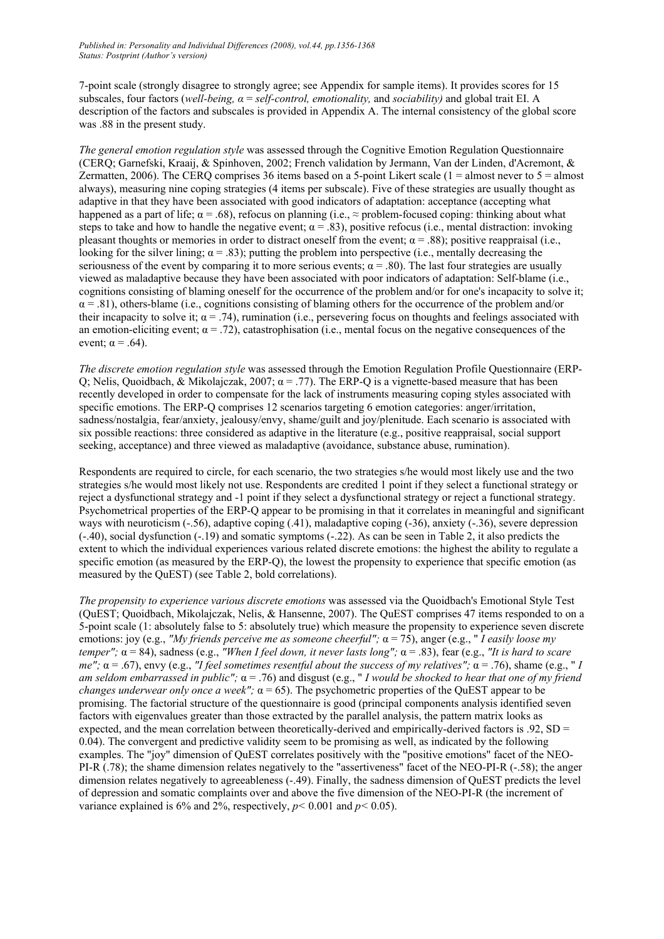7-point scale (strongly disagree to strongly agree; see Appendix for sample items). It provides scores for 15 subscales, four factors (well-being,  $\alpha$  = self-control, emotionality, and sociability) and global trait EI. A description of the factors and subscales is provided in Appendix A. The internal consistency of the global score was .88 in the present study.

The general emotion regulation style was assessed through the Cognitive Emotion Regulation Questionnaire (CERQ; Garnefski, Kraaij, & Spinhoven, 2002; French validation by Jermann, Van der Linden, d'Acremont, & Zermatten, 2006). The CERQ comprises 36 items based on a 5-point Likert scale ( $1 =$  almost never to  $5 =$  almost always), measuring nine coping strategies (4 items per subscale). Five of these strategies are usually thought as adaptive in that they have been associated with good indicators of adaptation: acceptance (accepting what happened as a part of life;  $\alpha$  = .68), refocus on planning (i.e.,  $\approx$  problem-focused coping: thinking about what steps to take and how to handle the negative event;  $\alpha = .83$ ), positive refocus (i.e., mental distraction: invoking pleasant thoughts or memories in order to distract oneself from the event;  $\alpha = .88$ ); positive reappraisal (i.e., looking for the silver lining;  $\alpha = .83$ ); putting the problem into perspective (i.e., mentally decreasing the seriousness of the event by comparing it to more serious events;  $\alpha = .80$ ). The last four strategies are usually viewed as maladaptive because they have been associated with poor indicators of adaptation: Self-blame (i.e., cognitions consisting of blaming oneself for the occurrence of the problem and/or for one's incapacity to solve it;  $\alpha$  = .81), others-blame (i.e., cognitions consisting of blaming others for the occurrence of the problem and/or their incapacity to solve it;  $\alpha = .74$ ), rumination (i.e., persevering focus on thoughts and feelings associated with an emotion-eliciting event;  $\alpha = 0.72$ ), catastrophisation (i.e., mental focus on the negative consequences of the event;  $\alpha = .64$ ).

The discrete emotion regulation style was assessed through the Emotion Regulation Profile Questionnaire (ERP-Q; Nelis, Quoidbach, & Mikolajczak, 2007;  $\alpha$  = .77). The ERP-Q is a vignette-based measure that has been recently developed in order to compensate for the lack of instruments measuring coping styles associated with specific emotions. The ERP-Q comprises 12 scenarios targeting 6 emotion categories: anger/irritation, sadness/nostalgia, fear/anxiety, jealousy/envy, shame/guilt and joy/plenitude. Each scenario is associated with six possible reactions: three considered as adaptive in the literature (e.g., positive reappraisal, social support seeking, acceptance) and three viewed as maladaptive (avoidance, substance abuse, rumination).

Respondents are required to circle, for each scenario, the two strategies s/he would most likely use and the two strategies s/he would most likely not use. Respondents are credited 1 point if they select a functional strategy or reject a dysfunctional strategy and -1 point if they select a dysfunctional strategy or reject a functional strategy. Psychometrical properties of the ERP-Q appear to be promising in that it correlates in meaningful and significant ways with neuroticism (-.56), adaptive coping (.41), maladaptive coping (-36), anxiety (-.36), severe depression (-.40), social dysfunction (-.19) and somatic symptoms (-.22). As can be seen in Table 2, it also predicts the extent to which the individual experiences various related discrete emotions: the highest the ability to regulate a specific emotion (as measured by the ERP-Q), the lowest the propensity to experience that specific emotion (as measured by the QuEST) (see Table 2, bold correlations).

The propensity to experience various discrete emotions was assessed via the Quoidbach's Emotional Style Test (QuEST; Quoidbach, Mikolajczak, Nelis, & Hansenne, 2007). The QuEST comprises 47 items responded to on a 5-point scale (1: absolutely false to 5: absolutely true) which measure the propensity to experience seven discrete emotions: joy (e.g., "My friends perceive me as someone cheerful";  $\alpha$  = 75), anger (e.g., " I easily loose my temper";  $\alpha$  = 84), sadness (e.g., "When I feel down, it never lasts long";  $\alpha$  = .83), fear (e.g., "It is hard to scare me";  $\alpha$  = .67), envy (e.g., "I feel sometimes resentful about the success of my relatives";  $\alpha$  = .76), shame (e.g., " I am seldom embarrassed in public";  $\alpha$  = .76) and disgust (e.g., " I would be shocked to hear that one of my friend changes underwear only once a week";  $\alpha = 65$ ). The psychometric properties of the QuEST appear to be promising. The factorial structure of the questionnaire is good (principal components analysis identified seven factors with eigenvalues greater than those extracted by the parallel analysis, the pattern matrix looks as expected, and the mean correlation between theoretically-derived and empirically-derived factors is .92, SD = 0.04). The convergent and predictive validity seem to be promising as well, as indicated by the following examples. The "joy" dimension of QuEST correlates positively with the "positive emotions" facet of the NEO-PI-R (.78); the shame dimension relates negatively to the "assertiveness" facet of the NEO-PI-R (-.58); the anger dimension relates negatively to agreeableness (-.49). Finally, the sadness dimension of QuEST predicts the level of depression and somatic complaints over and above the five dimension of the NEO-PI-R (the increment of variance explained is 6% and 2%, respectively,  $p < 0.001$  and  $p < 0.05$ ).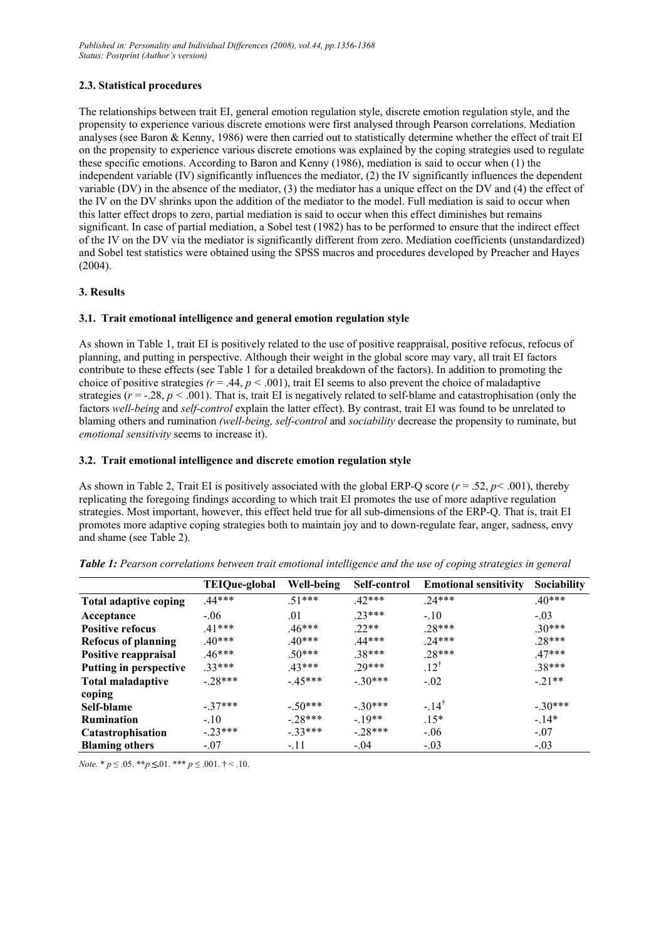# 2.3. Statistical procedures

The relationships between trait EI, general emotion regulation style, discrete emotion regulation style, and the propensity to experience various discrete emotions were first analysed through Pearson correlations. Mediation analyses (see Baron & Kenny, 1986) were then carried out to statistically determine whether the effect of trait EI on the propensity to experience various discrete emotions was explained by the coping strategies used to regulate these specific emotions. According to Baron and Kenny (1986), mediation is said to occur when (1) the independent variable (IV) significantly influences the mediator, (2) the IV significantly influences the dependent variable (DV) in the absence of the mediator, (3) the mediator has a unique effect on the DV and (4) the effect of the IV on the DV shrinks upon the addition of the mediator to the model. Full mediation is said to occur when this latter effect drops to zero, partial mediation is said to occur when this effect diminishes but remains significant. In case of partial mediation, a Sobel test (1982) has to be performed to ensure that the indirect effect of the IV on the DV via the mediator is significantly different from zero. Mediation coefficients (unstandardized) and Sobel test statistics were obtained using the SPSS macros and procedures developed by Preacher and Hayes (2004).

#### 3. Results

## 3.1. Trait emotional intelligence and general emotion regulation style

As shown in Table 1, trait EI is positively related to the use of positive reappraisal, positive refocus, refocus of planning, and putting in perspective. Although their weight in the global score may vary, all trait EI factors contribute to these effects (see Table 1 for a detailed breakdown of the factors). In addition to promoting the choice of positive strategies ( $r = .44$ ,  $p < .001$ ), trait EI seems to also prevent the choice of maladaptive strategies ( $r = -.28$ ,  $p < .001$ ). That is, trait EI is negatively related to self-blame and catastrophisation (only the factors well-being and self-control explain the latter effect). By contrast, trait EI was found to be unrelated to blaming others and rumination (well-being, self-control and sociability decrease the propensity to ruminate, but emotional sensitivity seems to increase it).

## 3.2. Trait emotional intelligence and discrete emotion regulation style

As shown in Table 2, Trait EI is positively associated with the global ERP-Q score  $(r = .52, p < .001)$ , thereby replicating the foregoing findings according to which trait EI promotes the use of more adaptive regulation strategies. Most important, however, this effect held true for all sub-dimensions of the ERP-Q. That is, trait EI promotes more adaptive coping strategies both to maintain joy and to down-regulate fear, anger, sadness, envy and shame (see Table 2).

|                               | <b>TEIQue-global</b> | Well-being | Self-control | <b>Emotional sensitivity</b> | <b>Sociability</b> |
|-------------------------------|----------------------|------------|--------------|------------------------------|--------------------|
| <b>Total adaptive coping</b>  | $.44***$             | $51***$    | $42***$      | $74***$                      | $40***$            |
| Acceptance                    | $-06$                | .01        | $23***$      | $-10$                        | $-.03$             |
| <b>Positive refocus</b>       | $.41***$             | $46***$    | $22**$       | $28***$                      | $30***$            |
| <b>Refocus of planning</b>    | $40***$              | $.40***$   | $44***$      | $74***$                      | 28***              |
| Positive reappraisal          | $46***$              | $50***$    | $38***$      | $28***$                      | $47***$            |
| <b>Putting in perspective</b> | $33***$              | $43***$    | $29***$      | $12^{\dagger}$               | $38***$            |
| <b>Total maladaptive</b>      | $-28***$             | $-45***$   | $-30***$     | $-.02$                       | $-21**$            |
| coping                        |                      |            |              |                              |                    |
| Self-blame                    | $-37***$             | $-50***$   | $-30***$     | $-.14^{\dagger}$             | $-30***$           |
| <b>Rumination</b>             | $-10$                | $-28***$   | $-19**$      | $.15*$                       | $-14*$             |
| Catastrophisation             | $-23***$             | $-.33***$  | $-28***$     | $-.06$                       | $-07$              |
| <b>Blaming others</b>         | $-.07$               | $-.11$     | $-04$        | $-.03$                       | $-.03$             |

Table 1: Pearson correlations between trait emotional intelligence and the use of coping strategies in general

Note. \*  $p \le 0.05$ . \*\* $p \le 0.01$ . \*\*\*  $p \le 0.001$ . † < .10.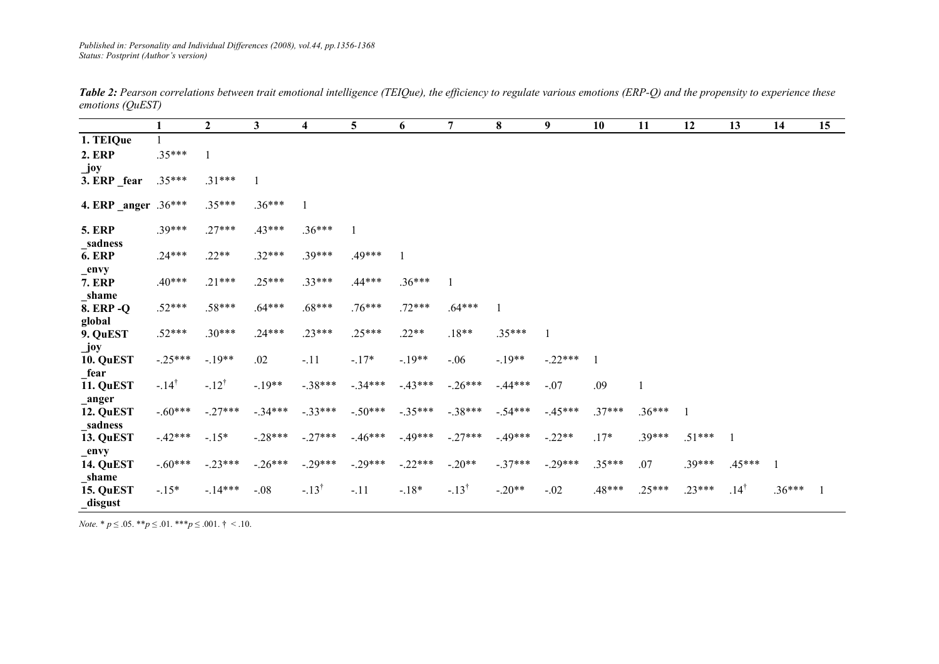|                                                                       |                 | $\boldsymbol{2}$ | $\mathbf{3}$ | 4                | 5         | 6         | 7                | 8         | 9         | 10       | 11       | 12       | 13              | 14       | 15 |
|-----------------------------------------------------------------------|-----------------|------------------|--------------|------------------|-----------|-----------|------------------|-----------|-----------|----------|----------|----------|-----------------|----------|----|
| 1. TEIQue                                                             |                 |                  |              |                  |           |           |                  |           |           |          |          |          |                 |          |    |
| <b>2. ERP</b>                                                         | $.35***$        |                  |              |                  |           |           |                  |           |           |          |          |          |                 |          |    |
| $j$ oy<br>3. ERP _fear                                                | $.35***$        | $.31***$         |              |                  |           |           |                  |           |           |          |          |          |                 |          |    |
| 4. ERP _anger                                                         | $.36***$        | $.35***$         | $.36***$     |                  |           |           |                  |           |           |          |          |          |                 |          |    |
| <b>5. ERP</b>                                                         | $.39***$        | $.27***$         | $.43***$     | $.36***$         |           |           |                  |           |           |          |          |          |                 |          |    |
| $\frac{\overline{\text{sadness}}}{\overline{\text{6. ERP}}}$<br>_envy | $.24***$        | $22**$           | $.32***$     | $.39***$         | .49***    |           |                  |           |           |          |          |          |                 |          |    |
| <b>7. ERP</b>                                                         | $.40***$        | $.21***$         | $.25***$     | $.33***$         | $.44***$  | $.36***$  |                  |           |           |          |          |          |                 |          |    |
| _shame<br>8. ERP - Q<br>global                                        | $.52***$        | .58***           | $.64***$     | $.68***$         | $.76***$  | $.72***$  | $.64***$         |           |           |          |          |          |                 |          |    |
| 9. QuEST                                                              | $.52***$        | $.30***$         | $.24***$     | $.23***$         | $.25***$  | $.22**$   | $.18**$          | $.35***$  |           |          |          |          |                 |          |    |
| $j$ oy<br>10. QuEST                                                   | $-.25***$       | $-19**$          | .02          | $-.11$           | $-.17*$   | $-.19**$  | $-.06$           | $-.19**$  | $-22***$  |          |          |          |                 |          |    |
| _fear<br>11. QuEST                                                    | $-14^{\dagger}$ | $-.12^{\dagger}$ | $-19**$      | $-.38***$        | $-.34***$ | $-43***$  | $-.26***$        | $-44***$  | $-.07$    | .09      |          |          |                 |          |    |
| _anger<br>12. QuEST<br>sadness                                        | $-.60***$       | $-.27***$        | $-.34***$    | $-.33***$        | $-.50***$ | $-.35***$ | $-.38***$        | $-54***$  | $-45***$  | $.37***$ | $.36***$ |          |                 |          |    |
| 13. QuEST                                                             | $-42***$        | $-15*$           | $-28***$     | $-.27***$        | $-46***$  | $-49***$  | $-.27***$        | $-49***$  | $-.22**$  | $.17*$   | .39***   | $.51***$ |                 |          |    |
| _envy<br>14. QuEST<br>shame                                           | $-.60***$       | $-23***$         | $-.26***$    | $-.29***$        | $-.29***$ | $-.22***$ | $-.20**$         | $-.37***$ | $-.29***$ | $.35***$ | .07      | $.39***$ | $.45***$        |          |    |
| 15. QuEST<br>_disgust                                                 | $-15*$          | $-14***$         | $-.08$       | $-.13^{\dagger}$ | $-.11$    | $-18*$    | $-.13^{\dagger}$ | $-.20**$  | $-.02$    | .48***   | $.25***$ | $.23***$ | $.14^{\dagger}$ | $.36***$ |    |

Table 2: Pearson correlations between trait emotional intelligence (TEIQue), the efficiency to regulate various emotions (ERP-Q) and the propensity to experience these emotions (QuEST)

Note. \*  $p \le 0.05$ . \*\* $p \le 0.01$ . \*\*\* $p \le 0.001$ . † < .10.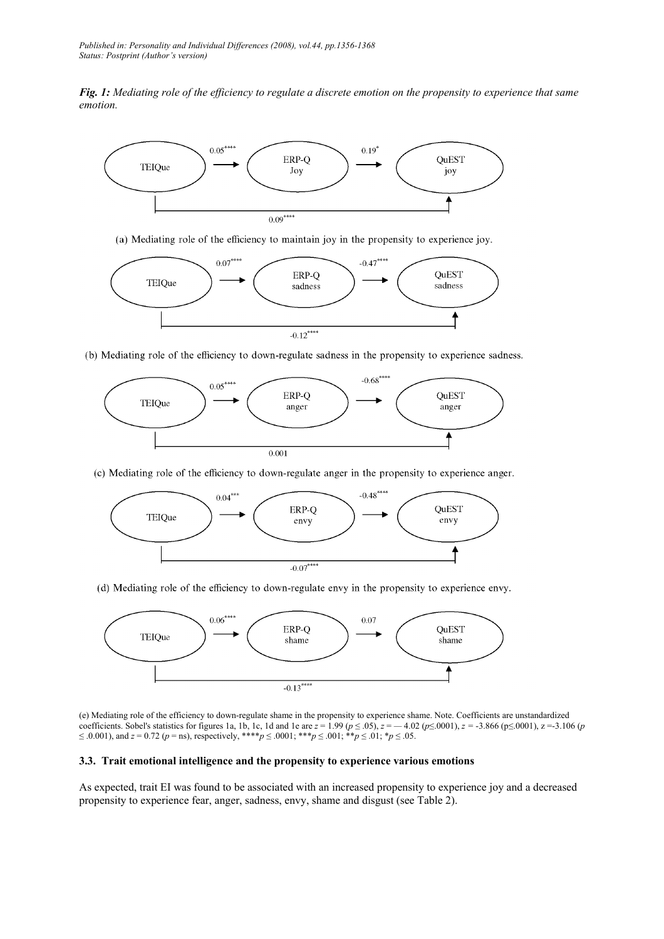Fig. 1: Mediating role of the efficiency to regulate a discrete emotion on the propensity to experience that same emotion.



(a) Mediating role of the efficiency to maintain joy in the propensity to experience joy.



(b) Mediating role of the efficiency to down-regulate sadness in the propensity to experience sadness.



(c) Mediating role of the efficiency to down-regulate anger in the propensity to experience anger.



(d) Mediating role of the efficiency to down-regulate envy in the propensity to experience envy.



(e) Mediating role of the efficiency to down-regulate shame in the propensity to experience shame. Note. Coefficients are unstandardized coefficients. Sobel's statistics for figures 1a, 1b, 1c, 1d and 1e are  $z = 1.99$  ( $p \le 0.05$ ),  $z = -4.02$  ( $p \le 0.001$ ),  $z = -3.866$  ( $p \le 0.001$ ),  $z = -3.106$  ( $p$  $\leq$  0.001), and  $z = 0.72$  (p = ns), respectively, \*\*\*\*  $p \leq 0.001$ ; \*\*\*  $p \leq 0.01$ ; \*\* $p \leq 0.01$ ; \* $p \leq 0.05$ .

#### 3.3. Trait emotional intelligence and the propensity to experience various emotions

As expected, trait EI was found to be associated with an increased propensity to experience joy and a decreased propensity to experience fear, anger, sadness, envy, shame and disgust (see Table 2).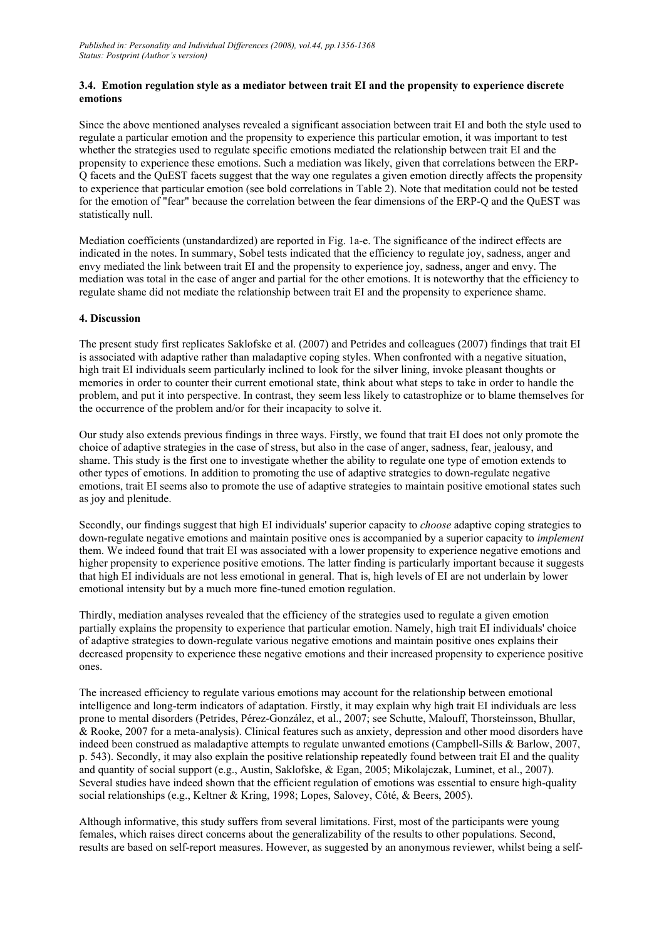## 3.4. Emotion regulation style as a mediator between trait EI and the propensity to experience discrete emotions

Since the above mentioned analyses revealed a significant association between trait EI and both the style used to regulate a particular emotion and the propensity to experience this particular emotion, it was important to test whether the strategies used to regulate specific emotions mediated the relationship between trait EI and the propensity to experience these emotions. Such a mediation was likely, given that correlations between the ERP-Q facets and the QuEST facets suggest that the way one regulates a given emotion directly affects the propensity to experience that particular emotion (see bold correlations in Table 2). Note that meditation could not be tested for the emotion of "fear" because the correlation between the fear dimensions of the ERP-Q and the QuEST was statistically null.

Mediation coefficients (unstandardized) are reported in Fig. 1a-e. The significance of the indirect effects are indicated in the notes. In summary, Sobel tests indicated that the efficiency to regulate joy, sadness, anger and envy mediated the link between trait EI and the propensity to experience joy, sadness, anger and envy. The mediation was total in the case of anger and partial for the other emotions. It is noteworthy that the efficiency to regulate shame did not mediate the relationship between trait EI and the propensity to experience shame.

## 4. Discussion

The present study first replicates Saklofske et al. (2007) and Petrides and colleagues (2007) findings that trait EI is associated with adaptive rather than maladaptive coping styles. When confronted with a negative situation, high trait EI individuals seem particularly inclined to look for the silver lining, invoke pleasant thoughts or memories in order to counter their current emotional state, think about what steps to take in order to handle the problem, and put it into perspective. In contrast, they seem less likely to catastrophize or to blame themselves for the occurrence of the problem and/or for their incapacity to solve it.

Our study also extends previous findings in three ways. Firstly, we found that trait EI does not only promote the choice of adaptive strategies in the case of stress, but also in the case of anger, sadness, fear, jealousy, and shame. This study is the first one to investigate whether the ability to regulate one type of emotion extends to other types of emotions. In addition to promoting the use of adaptive strategies to down-regulate negative emotions, trait EI seems also to promote the use of adaptive strategies to maintain positive emotional states such as joy and plenitude.

Secondly, our findings suggest that high EI individuals' superior capacity to choose adaptive coping strategies to down-regulate negative emotions and maintain positive ones is accompanied by a superior capacity to implement them. We indeed found that trait EI was associated with a lower propensity to experience negative emotions and higher propensity to experience positive emotions. The latter finding is particularly important because it suggests that high EI individuals are not less emotional in general. That is, high levels of EI are not underlain by lower emotional intensity but by a much more fine-tuned emotion regulation.

Thirdly, mediation analyses revealed that the efficiency of the strategies used to regulate a given emotion partially explains the propensity to experience that particular emotion. Namely, high trait EI individuals' choice of adaptive strategies to down-regulate various negative emotions and maintain positive ones explains their decreased propensity to experience these negative emotions and their increased propensity to experience positive ones.

The increased efficiency to regulate various emotions may account for the relationship between emotional intelligence and long-term indicators of adaptation. Firstly, it may explain why high trait EI individuals are less prone to mental disorders (Petrides, Pérez-González, et al., 2007; see Schutte, Malouff, Thorsteinsson, Bhullar, & Rooke, 2007 for a meta-analysis). Clinical features such as anxiety, depression and other mood disorders have indeed been construed as maladaptive attempts to regulate unwanted emotions (Campbell-Sills & Barlow, 2007, p. 543). Secondly, it may also explain the positive relationship repeatedly found between trait EI and the quality and quantity of social support (e.g., Austin, Saklofske, & Egan, 2005; Mikolajczak, Luminet, et al., 2007). Several studies have indeed shown that the efficient regulation of emotions was essential to ensure high-quality social relationships (e.g., Keltner & Kring, 1998; Lopes, Salovey, Côté, & Beers, 2005).

Although informative, this study suffers from several limitations. First, most of the participants were young females, which raises direct concerns about the generalizability of the results to other populations. Second, results are based on self-report measures. However, as suggested by an anonymous reviewer, whilst being a self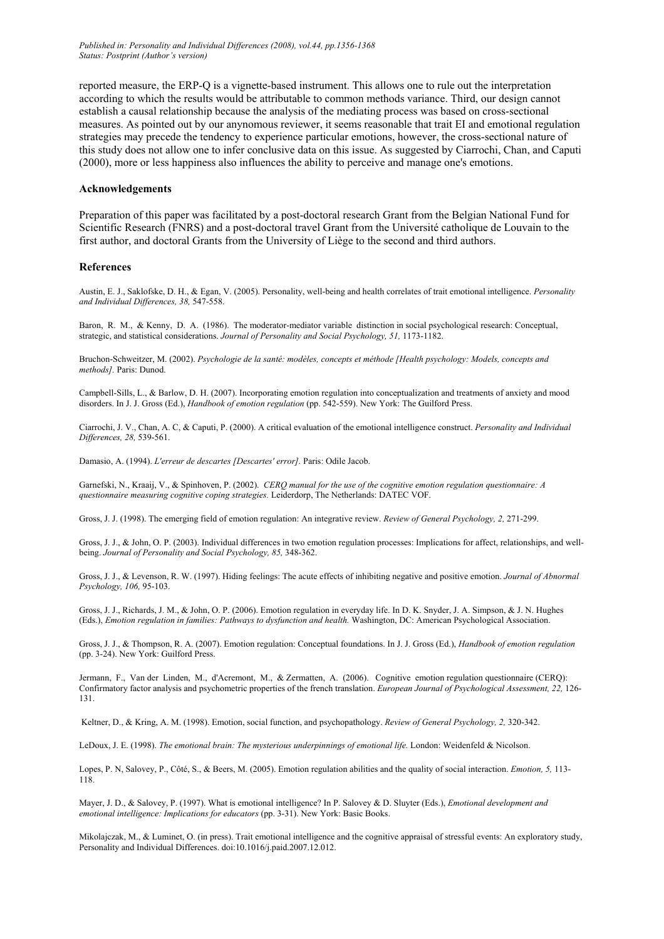reported measure, the ERP-Q is a vignette-based instrument. This allows one to rule out the interpretation according to which the results would be attributable to common methods variance. Third, our design cannot establish a causal relationship because the analysis of the mediating process was based on cross-sectional measures. As pointed out by our anynomous reviewer, it seems reasonable that trait EI and emotional regulation strategies may precede the tendency to experience particular emotions, however, the cross-sectional nature of this study does not allow one to infer conclusive data on this issue. As suggested by Ciarrochi, Chan, and Caputi (2000), more or less happiness also influences the ability to perceive and manage one's emotions.

#### Acknowledgements

Preparation of this paper was facilitated by a post-doctoral research Grant from the Belgian National Fund for Scientific Research (FNRS) and a post-doctoral travel Grant from the Université catholique de Louvain to the first author, and doctoral Grants from the University of Liège to the second and third authors.

#### References

Austin, E. J., Saklofske, D. H., & Egan, V. (2005). Personality, well-being and health correlates of trait emotional intelligence. *Personality* and Individual Differences, 38, 547-558.

Baron, R. M., & Kenny, D. A. (1986). The moderator-mediator variable distinction in social psychological research: Conceptual, strategic, and statistical considerations. Journal of Personality and Social Psychology, 51, 1173-1182.

Bruchon-Schweitzer, M. (2002). Psychologie de la santé: modèles, concepts et méthode [Health psychology: Models, concepts and methods]. Paris: Dunod.

Campbell-Sills, L., & Barlow, D. H. (2007). Incorporating emotion regulation into conceptualization and treatments of anxiety and mood disorders. In J. J. Gross (Ed.), Handbook of emotion regulation (pp. 542-559). New York: The Guilford Press.

Ciarrochi, J. V., Chan, A. C, & Caputi, P. (2000). A critical evaluation of the emotional intelligence construct. Personality and Individual Differences, 28, 539-561.

Damasio, A. (1994). L'erreur de descartes [Descartes' error]. Paris: Odile Jacob.

Garnefski, N., Kraaij, V., & Spinhoven, P. (2002). CERQ manual for the use of the cognitive emotion regulation questionnaire: A questionnaire measuring cognitive coping strategies. Leiderdorp, The Netherlands: DATEC VOF.

Gross, J. J. (1998). The emerging field of emotion regulation: An integrative review. Review of General Psychology, 2, 271-299.

Gross, J. J., & John, O. P. (2003). Individual differences in two emotion regulation processes: Implications for affect, relationships, and wellbeing. Journal of Personality and Social Psychology, 85, 348-362.

Gross, J. J., & Levenson, R. W. (1997). Hiding feelings: The acute effects of inhibiting negative and positive emotion. Journal of Abnormal Psychology, 106, 95-103.

Gross, J. J., Richards, J. M., & John, O. P. (2006). Emotion regulation in everyday life. In D. K. Snyder, J. A. Simpson, & J. N. Hughes (Eds.), Emotion regulation in families: Pathways to dysfunction and health. Washington, DC: American Psychological Association.

Gross, J. J., & Thompson, R. A. (2007). Emotion regulation: Conceptual foundations. In J. J. Gross (Ed.), Handbook of emotion regulation (pp. 3-24). New York: Guilford Press.

Jermann, F., Van der Linden, M., d'Acremont, M., & Zermatten, A. (2006). Cognitive emotion regulation questionnaire (CERQ): Confirmatory factor analysis and psychometric properties of the french translation. European Journal of Psychological Assessment, 22, 126- 131.

Keltner, D., & Kring, A. M. (1998). Emotion, social function, and psychopathology. Review of General Psychology, 2, 320-342.

LeDoux, J. E. (1998). The emotional brain: The mysterious underpinnings of emotional life. London: Weidenfeld & Nicolson.

Lopes, P. N, Salovey, P., Côté, S., & Beers, M. (2005). Emotion regulation abilities and the quality of social interaction. Emotion, 5, 113- 118.

Mayer, J. D., & Salovey, P. (1997). What is emotional intelligence? In P. Salovey & D. Sluyter (Eds.), *Emotional development and* emotional intelligence: Implications for educators (pp. 3-31). New York: Basic Books.

Mikolajczak, M., & Luminet, O. (in press). Trait emotional intelligence and the cognitive appraisal of stressful events: An exploratory study, Personality and Individual Differences. doi:10.1016/j.paid.2007.12.012.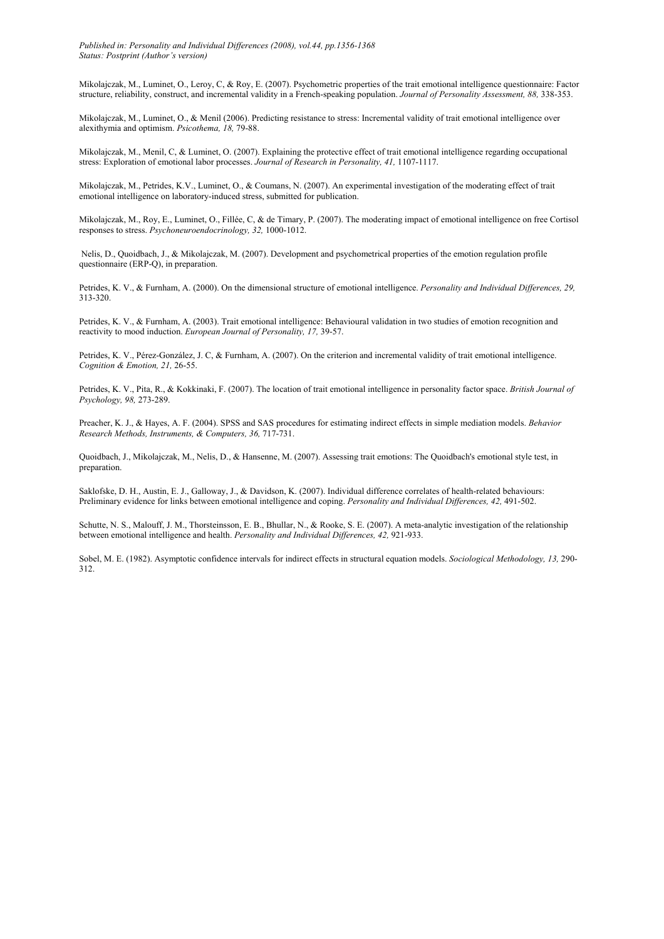Published in: Personality and Individual Differences (2008), vol.44, pp.1356-1368 Status: Postprint (Author's version)

Mikolajczak, M., Luminet, O., Leroy, C, & Roy, E. (2007). Psychometric properties of the trait emotional intelligence questionnaire: Factor structure, reliability, construct, and incremental validity in a French-speaking population. Journal of Personality Assessment, 88, 338-353.

Mikolajczak, M., Luminet, O., & Menil (2006). Predicting resistance to stress: Incremental validity of trait emotional intelligence over alexithymia and optimism. Psicothema, 18, 79-88.

Mikolajczak, M., Menil, C, & Luminet, O. (2007). Explaining the protective effect of trait emotional intelligence regarding occupational stress: Exploration of emotional labor processes. Journal of Research in Personality, 41, 1107-1117.

Mikolajczak, M., Petrides, K.V., Luminet, O., & Coumans, N. (2007). An experimental investigation of the moderating effect of trait emotional intelligence on laboratory-induced stress, submitted for publication.

Mikolajczak, M., Roy, E., Luminet, O., Fillée, C, & de Timary, P. (2007). The moderating impact of emotional intelligence on free Cortisol responses to stress. Psychoneuroendocrinology, 32, 1000-1012.

 Nelis, D., Quoidbach, J., & Mikolajczak, M. (2007). Development and psychometrical properties of the emotion regulation profile questionnaire (ERP-Q), in preparation.

Petrides, K. V., & Furnham, A. (2000). On the dimensional structure of emotional intelligence. Personality and Individual Differences, 29, 313-320.

Petrides, K. V., & Furnham, A. (2003). Trait emotional intelligence: Behavioural validation in two studies of emotion recognition and reactivity to mood induction. European Journal of Personality, 17, 39-57.

Petrides, K. V., Pérez-González, J. C, & Furnham, A. (2007). On the criterion and incremental validity of trait emotional intelligence. Cognition & Emotion, 21, 26-55.

Petrides, K. V., Pita, R., & Kokkinaki, F. (2007). The location of trait emotional intelligence in personality factor space. British Journal of Psychology, 98, 273-289.

Preacher, K. J., & Hayes, A. F. (2004). SPSS and SAS procedures for estimating indirect effects in simple mediation models. Behavior Research Methods, Instruments, & Computers, 36, 717-731.

Quoidbach, J., Mikolajczak, M., Nelis, D., & Hansenne, M. (2007). Assessing trait emotions: The Quoidbach's emotional style test, in preparation.

Saklofske, D. H., Austin, E. J., Galloway, J., & Davidson, K. (2007). Individual difference correlates of health-related behaviours: Preliminary evidence for links between emotional intelligence and coping. Personality and Individual Differences, 42, 491-502.

Schutte, N. S., Malouff, J. M., Thorsteinsson, E. B., Bhullar, N., & Rooke, S. E. (2007). A meta-analytic investigation of the relationship between emotional intelligence and health. Personality and Individual Differences, 42, 921-933.

Sobel, M. E. (1982). Asymptotic confidence intervals for indirect effects in structural equation models. Sociological Methodology, 13, 290- 312.